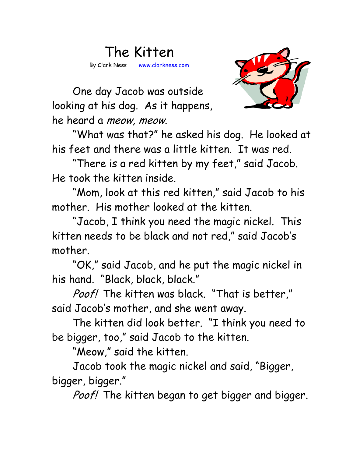## The Kitten By Clark Ness www.clarkness.com



One day Jacob was outside looking at his dog. As it happens, he heard a meow, meow.

 "What was that?" he asked his dog. He looked at his feet and there was a little kitten. It was red.

 "There is a red kitten by my feet," said Jacob. He took the kitten inside.

 "Mom, look at this red kitten," said Jacob to his mother. His mother looked at the kitten.

 "Jacob, I think you need the magic nickel. This kitten needs to be black and not red," said Jacob's mother.

 "OK," said Jacob, and he put the magic nickel in his hand. "Black, black, black."

Poof! The kitten was black. "That is better," said Jacob's mother, and she went away.

 The kitten did look better. "I think you need to be bigger, too," said Jacob to the kitten.

"Meow," said the kitten.

 Jacob took the magic nickel and said, "Bigger, bigger, bigger."

Poof! The kitten began to get bigger and bigger.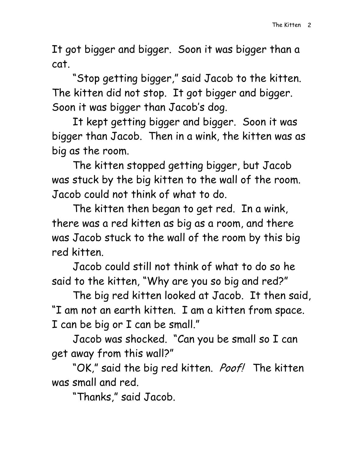It got bigger and bigger. Soon it was bigger than a cat.

 "Stop getting bigger," said Jacob to the kitten. The kitten did not stop. It got bigger and bigger. Soon it was bigger than Jacob's dog.

 It kept getting bigger and bigger. Soon it was bigger than Jacob. Then in a wink, the kitten was as big as the room.

 The kitten stopped getting bigger, but Jacob was stuck by the big kitten to the wall of the room. Jacob could not think of what to do.

 The kitten then began to get red. In a wink, there was a red kitten as big as a room, and there was Jacob stuck to the wall of the room by this big red kitten.

 Jacob could still not think of what to do so he said to the kitten, "Why are you so big and red?"

 The big red kitten looked at Jacob. It then said, "I am not an earth kitten. I am a kitten from space. I can be big or I can be small."

 Jacob was shocked. "Can you be small so I can get away from this wall?"

"OK," said the big red kitten. Poof! The kitten was small and red.

"Thanks," said Jacob.